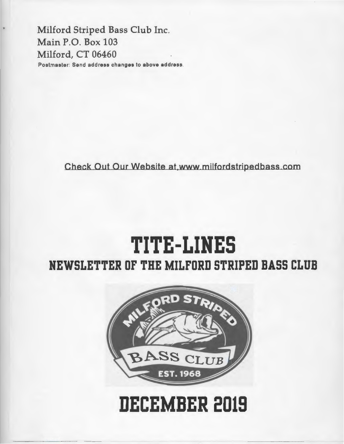Milford Striped Bass Club Inc. Main P.O. Box 103 Milford, CT 06460 Postmaster: Send address changes to above address.

Check Out Our Website at,www milfordstripedbass com

## **TITE-LINES NEWSLETTER OF THE MILFORD STRIPED BASS CLUB**



# **DECEMBER 2019**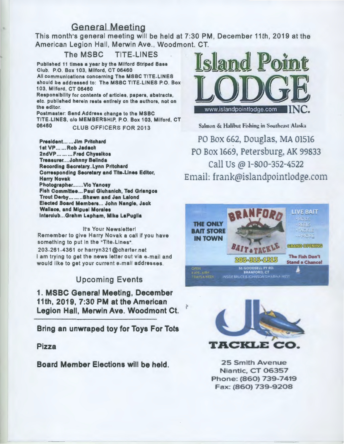#### General Meeting

This month's general meeting will be held at 7:30 PM, December 11th, 2019 at the American Legion Hall, Merwin Ave., Woodmont. CT.

The MSBC TITE-LINES Published 11 times a year by the Milford Striped Bass Club. P.O. Box 103, Milford, CT 06460 All communications concerning The MSBC TITE-LINES should be addressed to: The MSBC TITE-LINES P.O. Box 103, Milford, CT 06460 Responsibility for contents of articles, papers, abstracts, etc. published herein rests entirely on the authors, not on the editor. Postmaster: Send Address change to the MSBC TITE-LINES, c/o MEMBERSHIP, P.O. Box 103, Milford, CT 06460 CLUB OFFICERS FOR 2013

Prealdent... ... Jim Pritchard 1at VP ...... Rob Jadach 2ndVP... ... ... Fred Chyssikos Treasurer....Johnny Belinda Recording Secretary..Lynn Pritchard Corresponding Secretary and Tite-Lines Editor, Harry Novak Photographer.......Vic Yanosy Fiah Committee ... Paul Gluhanich, Ted Grlangoa Trout Derby ........ Shawn and Jen Lalond Elected Board Members... John Nangle, Jack Wallace, and Miguel Morales lnterclub ... Grahm Lapham, Mike LaPuglla

It's Your Newsletter! Remember to give Harry Novak a call if you have something to put in the "Tite-Lines". 203-261-4361 or harryn321 @charter. net I am trying to get the news letter out via e-mail and would like to get your current e-mail addresses .

#### Upcoming Events

1. MSBC General Meeting, December 11th, 2019, 7:30 PM at the American Legion Hall, Merwin Ave. Woodmont Ct.

Bring an unwraped toy for Toys For Tots

Pizza

Board Member Elections will be held. 25 Smith Avenue



Salmon & Halibut Fishing in Southeast Alaska

PO Box 662, Douglas, MA 01516 PO Box 1669, Petersburg. AK 99833 call Us@ 1-800-352-4522 Email: frank@islandpointlodge.com





Niantic, CT 06357 Phone: (860) 739-7419 Fax: (860) 739-9208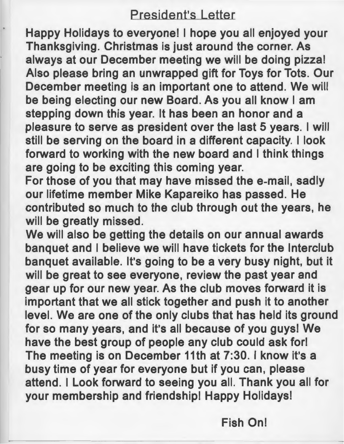### President's Letter

Happy Holidays to everyone! I hope you all enjoyed your Thanksgiving. Christmas is just around the corner. As always at our December meeting we will be doing pizza! Also please bring an unwrapped gift for Toys for Tots. Our December meeting is an important one to attend. We will be being electing our new Board. As you all know I am stepping down this year. It has been an honor and a pleasure to serve as president over the last 5 years. I will still be serving on the board in a different capacity. I look forward to working with the new board and I think things are going to be exciting this coming year.

For those of you that may have missed the e-mail, sadly our lifetime member Mike Kapareiko has passed. He contributed so much to the club through out the years, he will be greatly missed.

We will also be getting the details on our annual awards banquet and I believe we will have tickets for the lnterclub banquet available. It's going to be a very busy night, but it will be great to see everyone, review the past year and gear up for our new year. As the club moves forward it is important that we all stick together and push it to another level. We are one of the only clubs that has held its ground for so many years, and it's all because of you guys! We have the best group of people any club could ask for! The meeting is on December 11th at 7:30. I know it's a busy time of year for everyone but if you can, please attend. I Look forward to seeing you all. Thank you all for your membership and friendship! Happy Holidays!

Fish On!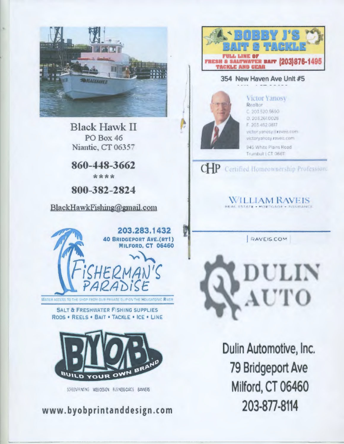

**Black Hawk II PO Box 46** Niantic, CT 06357

860-448-3662 \*\*\*\*

800-382-2824

BlackHawkFishing@gmail.com



**SALT & FRESHWATER FISHING SUPPLIES** RODS . REELS . BAIT . TACKLE . ICE . LINE



SCHENWING WEBCESCH BUSINESS CARS BANNERS

www.byobprintanddesign.com



#### 354 New Haven Ave Unit #5

**Victor Yanosy** Realtor C. 203 520.5690 0.203,261,0028 F 203 462 0617 victor yanosy araveis comvictoryanosy.raveis.com 945 White Plains Road Trumbull | CT 06611

ĮЛ

F

 $CHP$ Certified Homeownership Profession:



**RAVEIS COM** 



Dulin Automotive, Inc. **79 Bridgeport Ave** Milford, CT 06460 203-877-8114